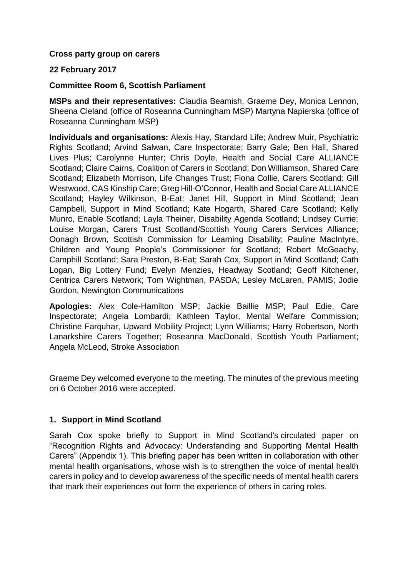#### **Cross party group on carers**

#### **22 February 2017**

#### **Committee Room 6, Scottish Parliament**

**MSPs and their representatives:** Claudia Beamish, Graeme Dey, Monica Lennon, Sheena Cleland (office of Roseanna Cunningham MSP) Martyna Napierska (office of Roseanna Cunningham MSP)

**Individuals and organisations:** Alexis Hay, Standard Life; Andrew Muir, Psychiatric Rights Scotland; Arvind Salwan, Care Inspectorate; Barry Gale; Ben Hall, Shared Lives Plus; Carolynne Hunter; Chris Doyle, Health and Social Care ALLIANCE Scotland; Claire Cairns, Coalition of Carers in Scotland; Don Williamson, Shared Care Scotland; Elizabeth Morrison, Life Changes Trust; Fiona Collie, Carers Scotland; Gill Westwood, CAS Kinship Care; Greg Hill-O'Connor, Health and Social Care ALLIANCE Scotland; Hayley Wilkinson, B-Eat; Janet Hill, Support in Mind Scotland; Jean Campbell, Support in Mind Scotland; Kate Hogarth, Shared Care Scotland; Kelly Munro, Enable Scotland; Layla Theiner, Disability Agenda Scotland; Lindsey Currie; Louise Morgan, Carers Trust Scotland/Scottish Young Carers Services Alliance; Oonagh Brown, Scottish Commission for Learning Disability; Pauline MacIntyre, Children and Young People's Commissioner for Scotland; Robert McGeachy, Camphill Scotland; Sara Preston, B-Eat; Sarah Cox, Support in Mind Scotland; Cath Logan, Big Lottery Fund; Evelyn Menzies, Headway Scotland; Geoff Kitchener, Centrica Carers Network; Tom Wightman, PASDA; Lesley McLaren, PAMIS; Jodie Gordon, Newington Communications

**Apologies:** Alex Cole-Hamilton MSP; Jackie Baillie MSP; Paul Edie, Care Inspectorate; Angela Lombardi; Kathleen Taylor, Mental Welfare Commission; Christine Farquhar, Upward Mobility Project; Lynn Williams; Harry Robertson, North Lanarkshire Carers Together; Roseanna MacDonald, Scottish Youth Parliament; Angela McLeod, Stroke Association

Graeme Dey welcomed everyone to the meeting. The minutes of the previous meeting on 6 October 2016 were accepted.

#### **1. Support in Mind Scotland**

Sarah Cox spoke briefly to Support in Mind Scotland's circulated paper on "Recognition Rights and Advocacy: Understanding and Supporting Mental Health Carers" (Appendix 1). This briefing paper has been written in collaboration with other mental health organisations, whose wish is to strengthen the voice of mental health carers in policy and to develop awareness of the specific needs of mental health carers that mark their experiences out form the experience of others in caring roles.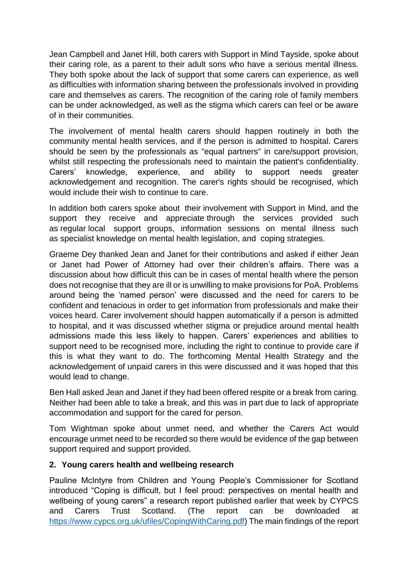Jean Campbell and Janet Hill, both carers with Support in Mind Tayside, spoke about their caring role, as a parent to their adult sons who have a serious mental illness. They both spoke about the lack of support that some carers can experience, as well as difficulties with information sharing between the professionals involved in providing care and themselves as carers. The recognition of the caring role of family members can be under acknowledged, as well as the stigma which carers can feel or be aware of in their communities.

The involvement of mental health carers should happen routinely in both the community mental health services, and if the person is admitted to hospital. Carers should be seen by the professionals as "equal partners" in care/support provision, whilst still respecting the professionals need to maintain the patient's confidentiality. Carers' knowledge, experience, and ability to support needs greater acknowledgement and recognition. The carer's rights should be recognised, which would include their wish to continue to care.

In addition both carers spoke about their involvement with Support in Mind, and the support they receive and appreciate through the services provided such as regular local support groups, information sessions on mental illness such as specialist knowledge on mental health legislation, and coping strategies.

Graeme Dey thanked Jean and Janet for their contributions and asked if either Jean or Janet had Power of Attorney had over their children's affairs. There was a discussion about how difficult this can be in cases of mental health where the person does not recognise that they are ill or is unwilling to make provisions for PoA. Problems around being the 'named person' were discussed and the need for carers to be confident and tenacious in order to get information from professionals and make their voices heard. Carer involvement should happen automatically if a person is admitted to hospital, and it was discussed whether stigma or prejudice around mental health admissions made this less likely to happen. Carers' experiences and abilities to support need to be recognised more, including the right to continue to provide care if this is what they want to do. The forthcoming Mental Health Strategy and the acknowledgement of unpaid carers in this were discussed and it was hoped that this would lead to change.

Ben Hall asked Jean and Janet if they had been offered respite or a break from caring. Neither had been able to take a break, and this was in part due to lack of appropriate accommodation and support for the cared for person.

Tom Wightman spoke about unmet need, and whether the Carers Act would encourage unmet need to be recorded so there would be evidence of the gap between support required and support provided.

### **2. Young carers health and wellbeing research**

Pauline McIntyre from Children and Young People's Commissioner for Scotland introduced "Coping is difficult, but I feel proud: perspectives on mental health and wellbeing of young carers" a research report published earlier that week by CYPCS and Carers Trust Scotland. (The report can be downloaded at [https://www.cypcs.org.uk/ufiles/CopingWithCaring.pdf\)](https://www.cypcs.org.uk/ufiles/CopingWithCaring.pdf) The main findings of the report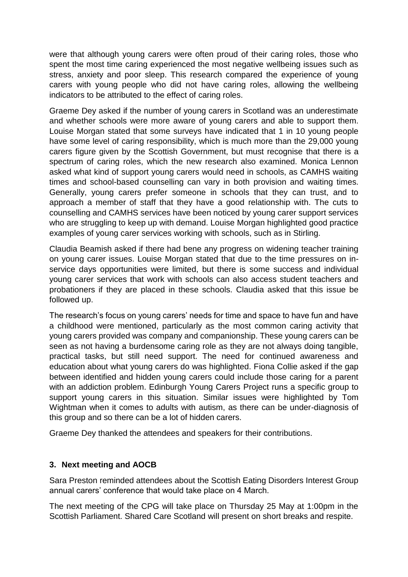were that although young carers were often proud of their caring roles, those who spent the most time caring experienced the most negative wellbeing issues such as stress, anxiety and poor sleep. This research compared the experience of young carers with young people who did not have caring roles, allowing the wellbeing indicators to be attributed to the effect of caring roles.

Graeme Dey asked if the number of young carers in Scotland was an underestimate and whether schools were more aware of young carers and able to support them. Louise Morgan stated that some surveys have indicated that 1 in 10 young people have some level of caring responsibility, which is much more than the 29,000 young carers figure given by the Scottish Government, but must recognise that there is a spectrum of caring roles, which the new research also examined. Monica Lennon asked what kind of support young carers would need in schools, as CAMHS waiting times and school-based counselling can vary in both provision and waiting times. Generally, young carers prefer someone in schools that they can trust, and to approach a member of staff that they have a good relationship with. The cuts to counselling and CAMHS services have been noticed by young carer support services who are struggling to keep up with demand. Louise Morgan highlighted good practice examples of young carer services working with schools, such as in Stirling.

Claudia Beamish asked if there had bene any progress on widening teacher training on young carer issues. Louise Morgan stated that due to the time pressures on inservice days opportunities were limited, but there is some success and individual young carer services that work with schools can also access student teachers and probationers if they are placed in these schools. Claudia asked that this issue be followed up.

The research's focus on young carers' needs for time and space to have fun and have a childhood were mentioned, particularly as the most common caring activity that young carers provided was company and companionship. These young carers can be seen as not having a burdensome caring role as they are not always doing tangible, practical tasks, but still need support. The need for continued awareness and education about what young carers do was highlighted. Fiona Collie asked if the gap between identified and hidden young carers could include those caring for a parent with an addiction problem. Edinburgh Young Carers Project runs a specific group to support young carers in this situation. Similar issues were highlighted by Tom Wightman when it comes to adults with autism, as there can be under-diagnosis of this group and so there can be a lot of hidden carers.

Graeme Dey thanked the attendees and speakers for their contributions.

### **3. Next meeting and AOCB**

Sara Preston reminded attendees about the Scottish Eating Disorders Interest Group annual carers' conference that would take place on 4 March.

The next meeting of the CPG will take place on Thursday 25 May at 1:00pm in the Scottish Parliament. Shared Care Scotland will present on short breaks and respite.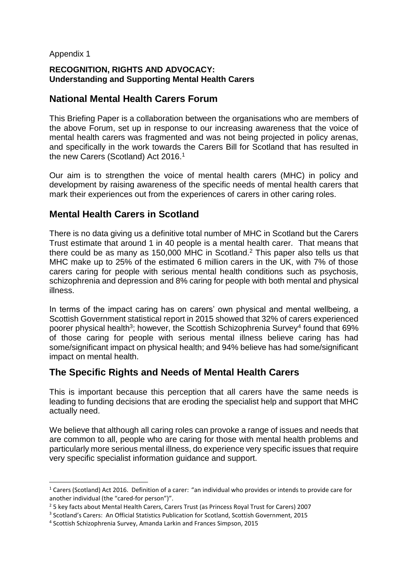### Appendix 1

 $\overline{a}$ 

### **RECOGNITION, RIGHTS AND ADVOCACY: Understanding and Supporting Mental Health Carers**

### **National Mental Health Carers Forum**

This Briefing Paper is a collaboration between the organisations who are members of the above Forum, set up in response to our increasing awareness that the voice of mental health carers was fragmented and was not being projected in policy arenas, and specifically in the work towards the Carers Bill for Scotland that has resulted in the new Carers (Scotland) Act 2016.<sup>1</sup>

Our aim is to strengthen the voice of mental health carers (MHC) in policy and development by raising awareness of the specific needs of mental health carers that mark their experiences out from the experiences of carers in other caring roles.

# **Mental Health Carers in Scotland**

There is no data giving us a definitive total number of MHC in Scotland but the Carers Trust estimate that around 1 in 40 people is a mental health carer. That means that there could be as many as 150,000 MHC in Scotland.<sup>2</sup> This paper also tells us that MHC make up to 25% of the estimated 6 million carers in the UK, with 7% of those carers caring for people with serious mental health conditions such as psychosis, schizophrenia and depression and 8% caring for people with both mental and physical illness.

In terms of the impact caring has on carers' own physical and mental wellbeing, a Scottish Government statistical report in 2015 showed that 32% of carers experienced poorer physical health<sup>3</sup>; however, the Scottish Schizophrenia Survey<sup>4</sup> found that 69% of those caring for people with serious mental illness believe caring has had some/significant impact on physical health; and 94% believe has had some/significant impact on mental health.

### **The Specific Rights and Needs of Mental Health Carers**

This is important because this perception that all carers have the same needs is leading to funding decisions that are eroding the specialist help and support that MHC actually need.

We believe that although all caring roles can provoke a range of issues and needs that are common to all, people who are caring for those with mental health problems and particularly more serious mental illness, do experience very specific issues that require very specific specialist information guidance and support.

 $1$  Carers (Scotland) Act 2016. Definition of a carer: "an individual who provides or intends to provide care for another individual (the "cared-for person")".

<sup>2</sup> 5 key facts about Mental Health Carers, Carers Trust (as Princess Royal Trust for Carers) 2007

<sup>&</sup>lt;sup>3</sup> Scotland's Carers: An Official Statistics Publication for Scotland, Scottish Government, 2015

<sup>4</sup> Scottish Schizophrenia Survey, Amanda Larkin and Frances Simpson, 2015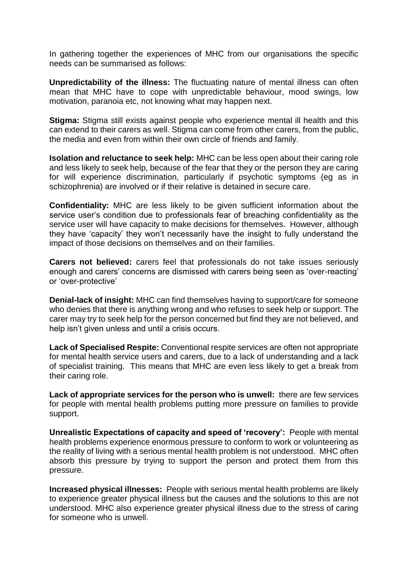In gathering together the experiences of MHC from our organisations the specific needs can be summarised as follows:

**Unpredictability of the illness:** The fluctuating nature of mental illness can often mean that MHC have to cope with unpredictable behaviour, mood swings, low motivation, paranoia etc, not knowing what may happen next.

**Stigma:** Stigma still exists against people who experience mental ill health and this can extend to their carers as well. Stigma can come from other carers, from the public, the media and even from within their own circle of friends and family.

**Isolation and reluctance to seek help:** MHC can be less open about their caring role and less likely to seek help, because of the fear that they or the person they are caring for will experience discrimination, particularly if psychotic symptoms (eg as in schizophrenia) are involved or if their relative is detained in secure care.

**Confidentiality:** MHC are less likely to be given sufficient information about the service user's condition due to professionals fear of breaching confidentiality as the service user will have capacity to make decisions for themselves. However, although they have 'capacity' they won't necessarily have the insight to fully understand the impact of those decisions on themselves and on their families.

**Carers not believed:** carers feel that professionals do not take issues seriously enough and carers' concerns are dismissed with carers being seen as 'over-reacting' or 'over-protective'

**Denial-lack of insight:** MHC can find themselves having to support/care for someone who denies that there is anything wrong and who refuses to seek help or support. The carer may try to seek help for the person concerned but find they are not believed, and help isn't given unless and until a crisis occurs.

**Lack of Specialised Respite:** Conventional respite services are often not appropriate for mental health service users and carers, due to a lack of understanding and a lack of specialist training. This means that MHC are even less likely to get a break from their caring role.

**Lack of appropriate services for the person who is unwell:** there are few services for people with mental health problems putting more pressure on families to provide support.

**Unrealistic Expectations of capacity and speed of 'recovery':** People with mental health problems experience enormous pressure to conform to work or volunteering as the reality of living with a serious mental health problem is not understood. MHC often absorb this pressure by trying to support the person and protect them from this pressure.

**Increased physical illnesses:** People with serious mental health problems are likely to experience greater physical illness but the causes and the solutions to this are not understood. MHC also experience greater physical illness due to the stress of caring for someone who is unwell.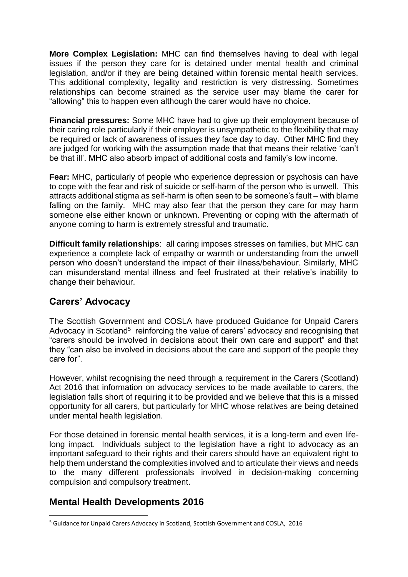**More Complex Legislation:** MHC can find themselves having to deal with legal issues if the person they care for is detained under mental health and criminal legislation, and/or if they are being detained within forensic mental health services. This additional complexity, legality and restriction is very distressing. Sometimes relationships can become strained as the service user may blame the carer for "allowing" this to happen even although the carer would have no choice.

**Financial pressures:** Some MHC have had to give up their employment because of their caring role particularly if their employer is unsympathetic to the flexibility that may be required or lack of awareness of issues they face day to day. Other MHC find they are judged for working with the assumption made that that means their relative 'can't be that ill'. MHC also absorb impact of additional costs and family's low income.

**Fear:** MHC, particularly of people who experience depression or psychosis can have to cope with the fear and risk of suicide or self-harm of the person who is unwell. This attracts additional stigma as self-harm is often seen to be someone's fault – with blame falling on the family. MHC may also fear that the person they care for may harm someone else either known or unknown. Preventing or coping with the aftermath of anyone coming to harm is extremely stressful and traumatic.

**Difficult family relationships**: all caring imposes stresses on families, but MHC can experience a complete lack of empathy or warmth or understanding from the unwell person who doesn't understand the impact of their illness/behaviour. Similarly, MHC can misunderstand mental illness and feel frustrated at their relative's inability to change their behaviour.

# **Carers' Advocacy**

The Scottish Government and COSLA have produced Guidance for Unpaid Carers Advocacy in Scotland<sup>5</sup> reinforcing the value of carers' advocacy and recognising that "carers should be involved in decisions about their own care and support" and that they "can also be involved in decisions about the care and support of the people they care for".

However, whilst recognising the need through a requirement in the Carers (Scotland) Act 2016 that information on advocacy services to be made available to carers, the legislation falls short of requiring it to be provided and we believe that this is a missed opportunity for all carers, but particularly for MHC whose relatives are being detained under mental health legislation.

For those detained in forensic mental health services, it is a long-term and even lifelong impact. Individuals subject to the legislation have a right to advocacy as an important safeguard to their rights and their carers should have an equivalent right to help them understand the complexities involved and to articulate their views and needs to the many different professionals involved in decision-making concerning compulsion and compulsory treatment.

# **Mental Health Developments 2016**

**<sup>.</sup>** <sup>5</sup> Guidance for Unpaid Carers Advocacy in Scotland, Scottish Government and COSLA, 2016